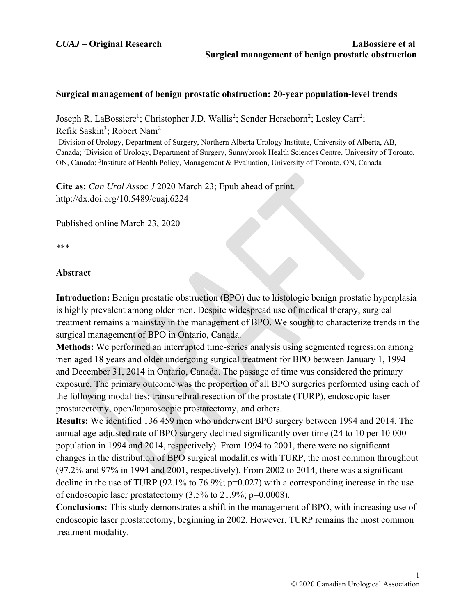## **Surgical management of benign prostatic obstruction: 20-year population-level trends**

Joseph R. LaBossiere<sup>1</sup>; Christopher J.D. Wallis<sup>2</sup>; Sender Herschorn<sup>2</sup>; Lesley Carr<sup>2</sup>; Refik Saskin<sup>3</sup>; Robert Nam<sup>2</sup> <sup>1</sup>Division of Urology, Department of Surgery, Northern Alberta Urology Institute, University of Alberta, AB, Canada; 2 Division of Urology, Department of Surgery, Sunnybrook Health Sciences Centre, University of Toronto, ON, Canada; <sup>3</sup>Institute of Health Policy, Management & Evaluation, University of Toronto, ON, Canada

**Cite as:** *Can Urol Assoc J* 2020 March 23; Epub ahead of print. http://dx.doi.org/10.5489/cuaj.6224

Published online March 23, 2020

\*\*\*

## **Abstract**

**Introduction:** Benign prostatic obstruction (BPO) due to histologic benign prostatic hyperplasia is highly prevalent among older men. Despite widespread use of medical therapy, surgical treatment remains a mainstay in the management of BPO. We sought to characterize trends in the surgical management of BPO in Ontario, Canada.

**Methods:** We performed an interrupted time-series analysis using segmented regression among men aged 18 years and older undergoing surgical treatment for BPO between January 1, 1994 and December 31, 2014 in Ontario, Canada. The passage of time was considered the primary exposure. The primary outcome was the proportion of all BPO surgeries performed using each of the following modalities: transurethral resection of the prostate (TURP), endoscopic laser prostatectomy, open/laparoscopic prostatectomy, and others.

**Results:** We identified 136 459 men who underwent BPO surgery between 1994 and 2014. The annual age-adjusted rate of BPO surgery declined significantly over time (24 to 10 per 10 000 population in 1994 and 2014, respectively). From 1994 to 2001, there were no significant changes in the distribution of BPO surgical modalities with TURP, the most common throughout (97.2% and 97% in 1994 and 2001, respectively). From 2002 to 2014, there was a significant decline in the use of TURP (92.1% to 76.9%; p=0.027) with a corresponding increase in the use of endoscopic laser prostatectomy (3.5% to 21.9%; p=0.0008).

**Conclusions:** This study demonstrates a shift in the management of BPO, with increasing use of endoscopic laser prostatectomy, beginning in 2002. However, TURP remains the most common treatment modality.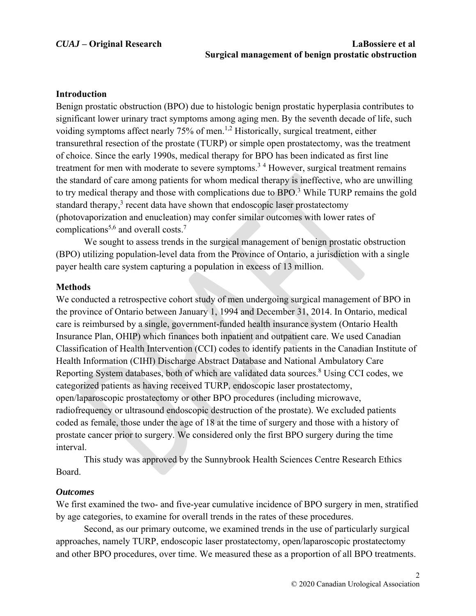#### **Introduction**

Benign prostatic obstruction (BPO) due to histologic benign prostatic hyperplasia contributes to significant lower urinary tract symptoms among aging men. By the seventh decade of life, such voiding symptoms affect nearly  $75\%$  of men.<sup>1,2</sup> Historically, surgical treatment, either transurethral resection of the prostate (TURP) or simple open prostatectomy, was the treatment of choice. Since the early 1990s, medical therapy for BPO has been indicated as first line treatment for men with moderate to severe symptoms.<sup>34</sup> However, surgical treatment remains the standard of care among patients for whom medical therapy is ineffective, who are unwilling to try medical therapy and those with complications due to  $BPO<sup>3</sup>$  While TURP remains the gold standard therapy, $3$  recent data have shown that endoscopic laser prostatectomy (photovaporization and enucleation) may confer similar outcomes with lower rates of complications<sup>5,6</sup> and overall costs.<sup>7</sup>

 We sought to assess trends in the surgical management of benign prostatic obstruction (BPO) utilizing population-level data from the Province of Ontario, a jurisdiction with a single payer health care system capturing a population in excess of 13 million.

#### **Methods**

We conducted a retrospective cohort study of men undergoing surgical management of BPO in the province of Ontario between January 1, 1994 and December 31, 2014. In Ontario, medical care is reimbursed by a single, government-funded health insurance system (Ontario Health Insurance Plan, OHIP) which finances both inpatient and outpatient care. We used Canadian Classification of Health Intervention (CCI) codes to identify patients in the Canadian Institute of Health Information (CIHI) Discharge Abstract Database and National Ambulatory Care Reporting System databases, both of which are validated data sources.<sup>8</sup> Using CCI codes, we categorized patients as having received TURP, endoscopic laser prostatectomy, open/laparoscopic prostatectomy or other BPO procedures (including microwave, radiofrequency or ultrasound endoscopic destruction of the prostate). We excluded patients coded as female, those under the age of 18 at the time of surgery and those with a history of prostate cancer prior to surgery. We considered only the first BPO surgery during the time interval.

This study was approved by the Sunnybrook Health Sciences Centre Research Ethics Board.

#### *Outcomes*

We first examined the two- and five-year cumulative incidence of BPO surgery in men, stratified by age categories, to examine for overall trends in the rates of these procedures.

 Second, as our primary outcome, we examined trends in the use of particularly surgical approaches, namely TURP, endoscopic laser prostatectomy, open/laparoscopic prostatectomy and other BPO procedures, over time. We measured these as a proportion of all BPO treatments.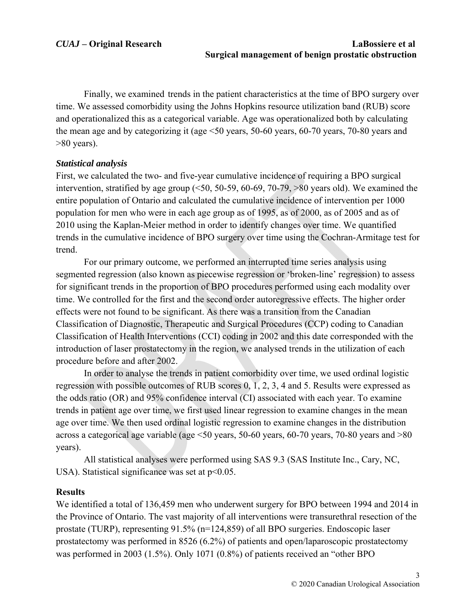Finally, we examined trends in the patient characteristics at the time of BPO surgery over time. We assessed comorbidity using the Johns Hopkins resource utilization band (RUB) score and operationalized this as a categorical variable. Age was operationalized both by calculating the mean age and by categorizing it (age <50 years, 50-60 years, 60-70 years, 70-80 years and  $>80$  years).

# *Statistical analysis*

First, we calculated the two- and five-year cumulative incidence of requiring a BPO surgical intervention, stratified by age group  $(50, 50-59, 60-69, 70-79, >80$  years old). We examined the entire population of Ontario and calculated the cumulative incidence of intervention per 1000 population for men who were in each age group as of 1995, as of 2000, as of 2005 and as of 2010 using the Kaplan-Meier method in order to identify changes over time. We quantified trends in the cumulative incidence of BPO surgery over time using the Cochran-Armitage test for trend.

 For our primary outcome, we performed an interrupted time series analysis using segmented regression (also known as piecewise regression or 'broken-line' regression) to assess for significant trends in the proportion of BPO procedures performed using each modality over time. We controlled for the first and the second order autoregressive effects. The higher order effects were not found to be significant. As there was a transition from the Canadian Classification of Diagnostic, Therapeutic and Surgical Procedures (CCP) coding to Canadian Classification of Health Interventions (CCI) coding in 2002 and this date corresponded with the introduction of laser prostatectomy in the region, we analysed trends in the utilization of each procedure before and after 2002.

 In order to analyse the trends in patient comorbidity over time, we used ordinal logistic regression with possible outcomes of RUB scores 0, 1, 2, 3, 4 and 5. Results were expressed as the odds ratio (OR) and 95% confidence interval (CI) associated with each year. To examine trends in patient age over time, we first used linear regression to examine changes in the mean age over time. We then used ordinal logistic regression to examine changes in the distribution across a categorical age variable (age <50 years, 50-60 years, 60-70 years, 70-80 years and >80 years).

 All statistical analyses were performed using SAS 9.3 (SAS Institute Inc., Cary, NC, USA). Statistical significance was set at  $p<0.05$ .

# **Results**

We identified a total of 136,459 men who underwent surgery for BPO between 1994 and 2014 in the Province of Ontario. The vast majority of all interventions were transurethral resection of the prostate (TURP), representing 91.5% (n=124,859) of all BPO surgeries. Endoscopic laser prostatectomy was performed in 8526 (6.2%) of patients and open/laparoscopic prostatectomy was performed in 2003 (1.5%). Only 1071 (0.8%) of patients received an "other BPO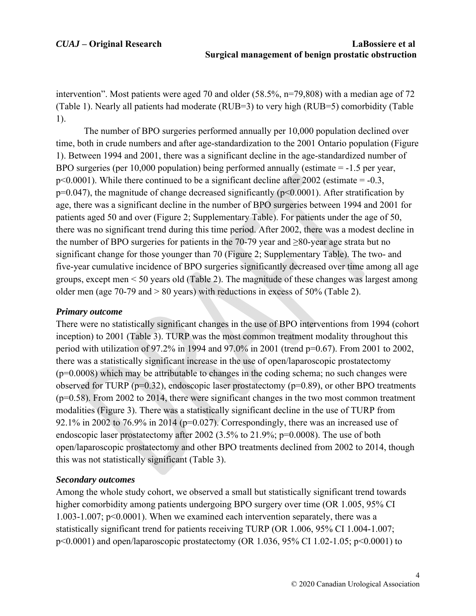intervention". Most patients were aged 70 and older (58.5%, n=79,808) with a median age of 72 (Table 1). Nearly all patients had moderate (RUB=3) to very high (RUB=5) comorbidity (Table 1).

 The number of BPO surgeries performed annually per 10,000 population declined over time, both in crude numbers and after age-standardization to the 2001 Ontario population (Figure 1). Between 1994 and 2001, there was a significant decline in the age-standardized number of BPO surgeries (per 10,000 population) being performed annually (estimate = -1.5 per year,  $p<0.0001$ ). While there continued to be a significant decline after 2002 (estimate = -0.3,  $p=0.047$ ), the magnitude of change decreased significantly ( $p<0.0001$ ). After stratification by age, there was a significant decline in the number of BPO surgeries between 1994 and 2001 for patients aged 50 and over (Figure 2; Supplementary Table). For patients under the age of 50, there was no significant trend during this time period. After 2002, there was a modest decline in the number of BPO surgeries for patients in the 70-79 year and  $\geq 80$ -year age strata but no significant change for those younger than 70 (Figure 2; Supplementary Table). The two- and five-year cumulative incidence of BPO surgeries significantly decreased over time among all age groups, except men < 50 years old (Table 2). The magnitude of these changes was largest among older men (age 70-79 and > 80 years) with reductions in excess of 50% (Table 2).

# *Primary outcome*

There were no statistically significant changes in the use of BPO interventions from 1994 (cohort inception) to 2001 (Table 3). TURP was the most common treatment modality throughout this period with utilization of 97.2% in 1994 and 97.0% in 2001 (trend p=0.67). From 2001 to 2002, there was a statistically significant increase in the use of open/laparoscopic prostatectomy (p=0.0008) which may be attributable to changes in the coding schema; no such changes were observed for TURP ( $p=0.32$ ), endoscopic laser prostatectomy ( $p=0.89$ ), or other BPO treatments (p=0.58). From 2002 to 2014, there were significant changes in the two most common treatment modalities (Figure 3). There was a statistically significant decline in the use of TURP from 92.1% in 2002 to 76.9% in 2014 ( $p=0.027$ ). Correspondingly, there was an increased use of endoscopic laser prostatectomy after 2002 (3.5% to 21.9%;  $p=0.0008$ ). The use of both open/laparoscopic prostatectomy and other BPO treatments declined from 2002 to 2014, though this was not statistically significant (Table 3).

# *Secondary outcomes*

Among the whole study cohort, we observed a small but statistically significant trend towards higher comorbidity among patients undergoing BPO surgery over time (OR 1.005, 95% CI 1.003-1.007; p<0.0001). When we examined each intervention separately, there was a statistically significant trend for patients receiving TURP (OR 1.006, 95% CI 1.004-1.007; p<0.0001) and open/laparoscopic prostatectomy (OR 1.036, 95% CI 1.02-1.05; p<0.0001) to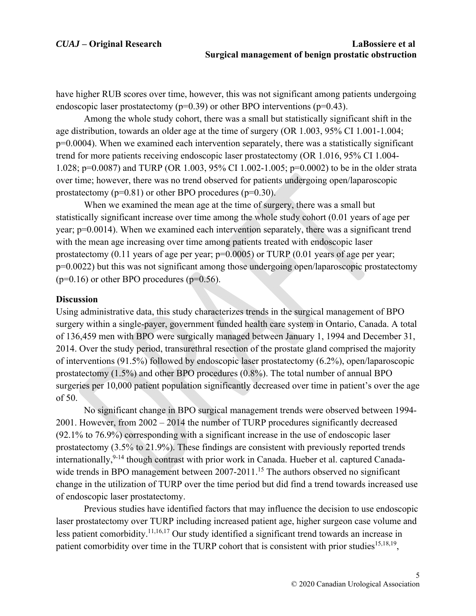have higher RUB scores over time, however, this was not significant among patients undergoing endoscopic laser prostatectomy ( $p=0.39$ ) or other BPO interventions ( $p=0.43$ ).

 Among the whole study cohort, there was a small but statistically significant shift in the age distribution, towards an older age at the time of surgery (OR 1.003, 95% CI 1.001-1.004; p=0.0004). When we examined each intervention separately, there was a statistically significant trend for more patients receiving endoscopic laser prostatectomy (OR 1.016, 95% CI 1.004- 1.028; p=0.0087) and TURP (OR 1.003, 95% CI 1.002-1.005; p=0.0002) to be in the older strata over time; however, there was no trend observed for patients undergoing open/laparoscopic prostatectomy  $(p=0.81)$  or other BPO procedures  $(p=0.30)$ .

 When we examined the mean age at the time of surgery, there was a small but statistically significant increase over time among the whole study cohort (0.01 years of age per year; p=0.0014). When we examined each intervention separately, there was a significant trend with the mean age increasing over time among patients treated with endoscopic laser prostatectomy  $(0.11$  years of age per year;  $p=0.0005$ ) or TURP  $(0.01$  years of age per year; p=0.0022) but this was not significant among those undergoing open/laparoscopic prostatectomy  $(p=0.16)$  or other BPO procedures  $(p=0.56)$ .

#### **Discussion**

Using administrative data, this study characterizes trends in the surgical management of BPO surgery within a single-payer, government funded health care system in Ontario, Canada. A total of 136,459 men with BPO were surgically managed between January 1, 1994 and December 31, 2014. Over the study period, transurethral resection of the prostate gland comprised the majority of interventions (91.5%) followed by endoscopic laser prostatectomy (6.2%), open/laparoscopic prostatectomy (1.5%) and other BPO procedures (0.8%). The total number of annual BPO surgeries per 10,000 patient population significantly decreased over time in patient's over the age of 50.

 No significant change in BPO surgical management trends were observed between 1994- 2001. However, from 2002 – 2014 the number of TURP procedures significantly decreased (92.1% to 76.9%) corresponding with a significant increase in the use of endoscopic laser prostatectomy (3.5% to 21.9%). These findings are consistent with previously reported trends internationally,  $9-14$  though contrast with prior work in Canada. Hueber et al. captured Canadawide trends in BPO management between 2007-2011.<sup>15</sup> The authors observed no significant change in the utilization of TURP over the time period but did find a trend towards increased use of endoscopic laser prostatectomy.

 Previous studies have identified factors that may influence the decision to use endoscopic laser prostatectomy over TURP including increased patient age, higher surgeon case volume and less patient comorbidity.11,16,17 Our study identified a significant trend towards an increase in patient comorbidity over time in the TURP cohort that is consistent with prior studies<sup>15,18,19</sup>,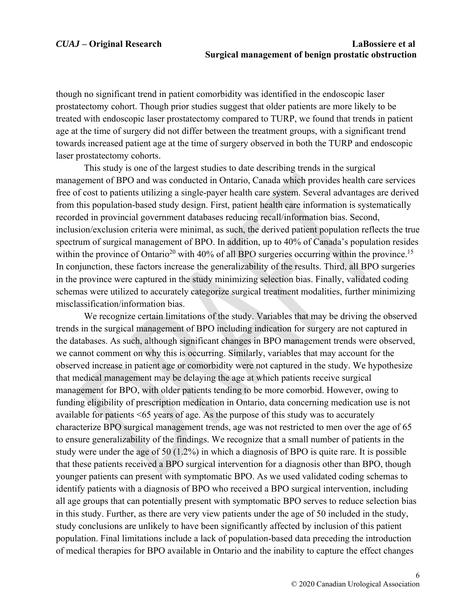though no significant trend in patient comorbidity was identified in the endoscopic laser prostatectomy cohort. Though prior studies suggest that older patients are more likely to be treated with endoscopic laser prostatectomy compared to TURP, we found that trends in patient age at the time of surgery did not differ between the treatment groups, with a significant trend towards increased patient age at the time of surgery observed in both the TURP and endoscopic laser prostatectomy cohorts.

 This study is one of the largest studies to date describing trends in the surgical management of BPO and was conducted in Ontario, Canada which provides health care services free of cost to patients utilizing a single-payer health care system. Several advantages are derived from this population-based study design. First, patient health care information is systematically recorded in provincial government databases reducing recall/information bias. Second, inclusion/exclusion criteria were minimal, as such, the derived patient population reflects the true spectrum of surgical management of BPO. In addition, up to 40% of Canada's population resides within the province of Ontario<sup>20</sup> with 40% of all BPO surgeries occurring within the province.<sup>15</sup> In conjunction, these factors increase the generalizability of the results. Third, all BPO surgeries in the province were captured in the study minimizing selection bias. Finally, validated coding schemas were utilized to accurately categorize surgical treatment modalities, further minimizing misclassification/information bias.

 We recognize certain limitations of the study. Variables that may be driving the observed trends in the surgical management of BPO including indication for surgery are not captured in the databases. As such, although significant changes in BPO management trends were observed, we cannot comment on why this is occurring. Similarly, variables that may account for the observed increase in patient age or comorbidity were not captured in the study. We hypothesize that medical management may be delaying the age at which patients receive surgical management for BPO, with older patients tending to be more comorbid. However, owing to funding eligibility of prescription medication in Ontario, data concerning medication use is not available for patients <65 years of age. As the purpose of this study was to accurately characterize BPO surgical management trends, age was not restricted to men over the age of 65 to ensure generalizability of the findings. We recognize that a small number of patients in the study were under the age of 50 (1.2%) in which a diagnosis of BPO is quite rare. It is possible that these patients received a BPO surgical intervention for a diagnosis other than BPO, though younger patients can present with symptomatic BPO. As we used validated coding schemas to identify patients with a diagnosis of BPO who received a BPO surgical intervention, including all age groups that can potentially present with symptomatic BPO serves to reduce selection bias in this study. Further, as there are very view patients under the age of 50 included in the study, study conclusions are unlikely to have been significantly affected by inclusion of this patient population. Final limitations include a lack of population-based data preceding the introduction of medical therapies for BPO available in Ontario and the inability to capture the effect changes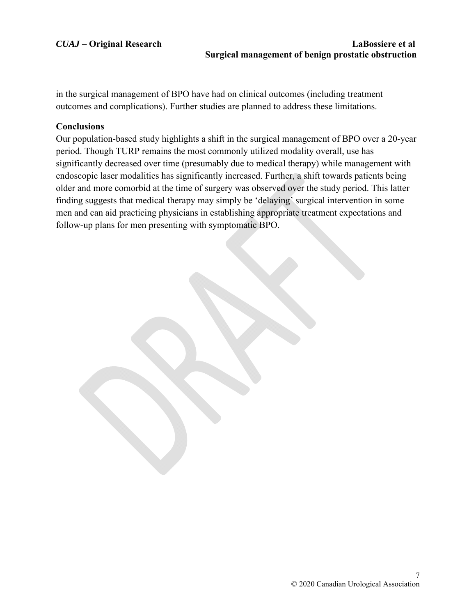in the surgical management of BPO have had on clinical outcomes (including treatment outcomes and complications). Further studies are planned to address these limitations.

# **Conclusions**

Our population-based study highlights a shift in the surgical management of BPO over a 20-year period. Though TURP remains the most commonly utilized modality overall, use has significantly decreased over time (presumably due to medical therapy) while management with endoscopic laser modalities has significantly increased. Further, a shift towards patients being older and more comorbid at the time of surgery was observed over the study period. This latter finding suggests that medical therapy may simply be 'delaying' surgical intervention in some men and can aid practicing physicians in establishing appropriate treatment expectations and follow-up plans for men presenting with symptomatic BPO.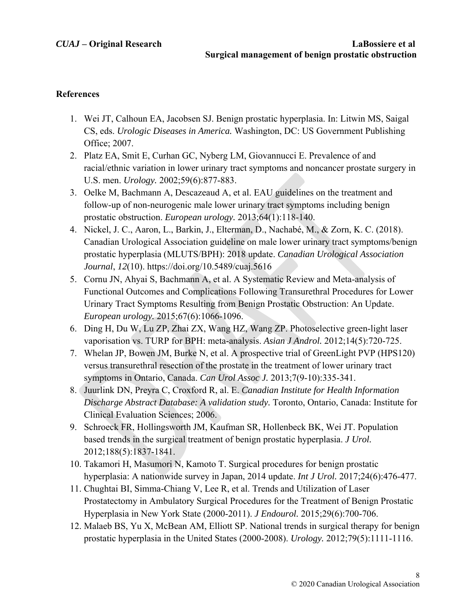## **References**

- 1. Wei JT, Calhoun EA, Jacobsen SJ. Benign prostatic hyperplasia. In: Litwin MS, Saigal CS, eds. *Urologic Diseases in America.* Washington, DC: US Government Publishing Office; 2007.
- 2. Platz EA, Smit E, Curhan GC, Nyberg LM, Giovannucci E. Prevalence of and racial/ethnic variation in lower urinary tract symptoms and noncancer prostate surgery in U.S. men. *Urology.* 2002;59(6):877-883.
- 3. Oelke M, Bachmann A, Descazeaud A, et al. EAU guidelines on the treatment and follow-up of non-neurogenic male lower urinary tract symptoms including benign prostatic obstruction. *European urology.* 2013;64(1):118-140.
- 4. Nickel, J. C., Aaron, L., Barkin, J., Elterman, D., Nachabé, M., & Zorn, K. C. (2018). Canadian Urological Association guideline on male lower urinary tract symptoms/benign prostatic hyperplasia (MLUTS/BPH): 2018 update. *Canadian Urological Association Journal*, *12*(10). https://doi.org/10.5489/cuaj.5616
- 5. Cornu JN, Ahyai S, Bachmann A, et al. A Systematic Review and Meta-analysis of Functional Outcomes and Complications Following Transurethral Procedures for Lower Urinary Tract Symptoms Resulting from Benign Prostatic Obstruction: An Update. *European urology.* 2015;67(6):1066-1096.
- 6. Ding H, Du W, Lu ZP, Zhai ZX, Wang HZ, Wang ZP. Photoselective green-light laser vaporisation vs. TURP for BPH: meta-analysis. *Asian J Androl.* 2012;14(5):720-725.
- 7. Whelan JP, Bowen JM, Burke N, et al. A prospective trial of GreenLight PVP (HPS120) versus transurethral resection of the prostate in the treatment of lower urinary tract symptoms in Ontario, Canada. *Can Urol Assoc J.* 2013;7(9-10):335-341.
- 8. Juurlink DN, Preyra C, Croxford R, al. E. *Canadian Institute for Health Information Discharge Abstract Database: A validation study.* Toronto, Ontario, Canada: Institute for Clinical Evaluation Sciences; 2006.
- 9. Schroeck FR, Hollingsworth JM, Kaufman SR, Hollenbeck BK, Wei JT. Population based trends in the surgical treatment of benign prostatic hyperplasia. *J Urol.*  2012;188(5):1837-1841.
- 10. Takamori H, Masumori N, Kamoto T. Surgical procedures for benign prostatic hyperplasia: A nationwide survey in Japan, 2014 update. *Int J Urol.* 2017;24(6):476-477.
- 11. Chughtai BI, Simma-Chiang V, Lee R, et al. Trends and Utilization of Laser Prostatectomy in Ambulatory Surgical Procedures for the Treatment of Benign Prostatic Hyperplasia in New York State (2000-2011). *J Endourol.* 2015;29(6):700-706.
- 12. Malaeb BS, Yu X, McBean AM, Elliott SP. National trends in surgical therapy for benign prostatic hyperplasia in the United States (2000-2008). *Urology.* 2012;79(5):1111-1116.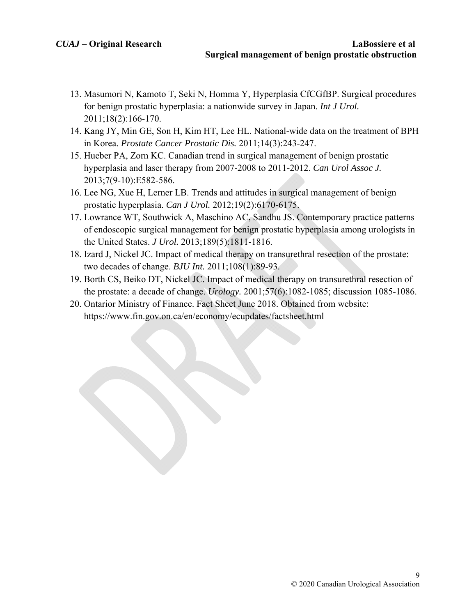- 13. Masumori N, Kamoto T, Seki N, Homma Y, Hyperplasia CfCGfBP. Surgical procedures for benign prostatic hyperplasia: a nationwide survey in Japan. *Int J Urol.*  2011;18(2):166-170.
- 14. Kang JY, Min GE, Son H, Kim HT, Lee HL. National-wide data on the treatment of BPH in Korea. *Prostate Cancer Prostatic Dis.* 2011;14(3):243-247.
- 15. Hueber PA, Zorn KC. Canadian trend in surgical management of benign prostatic hyperplasia and laser therapy from 2007-2008 to 2011-2012. *Can Urol Assoc J.*  2013;7(9-10):E582-586.
- 16. Lee NG, Xue H, Lerner LB. Trends and attitudes in surgical management of benign prostatic hyperplasia. *Can J Urol.* 2012;19(2):6170-6175.
- 17. Lowrance WT, Southwick A, Maschino AC, Sandhu JS. Contemporary practice patterns of endoscopic surgical management for benign prostatic hyperplasia among urologists in the United States. *J Urol.* 2013;189(5):1811-1816.
- 18. Izard J, Nickel JC. Impact of medical therapy on transurethral resection of the prostate: two decades of change. *BJU Int.* 2011;108(1):89-93.
- 19. Borth CS, Beiko DT, Nickel JC. Impact of medical therapy on transurethral resection of the prostate: a decade of change. *Urology.* 2001;57(6):1082-1085; discussion 1085-1086.
- 20. Ontarior Ministry of Finance. Fact Sheet June 2018. Obtained from website: https://www.fin.gov.on.ca/en/economy/ecupdates/factsheet.html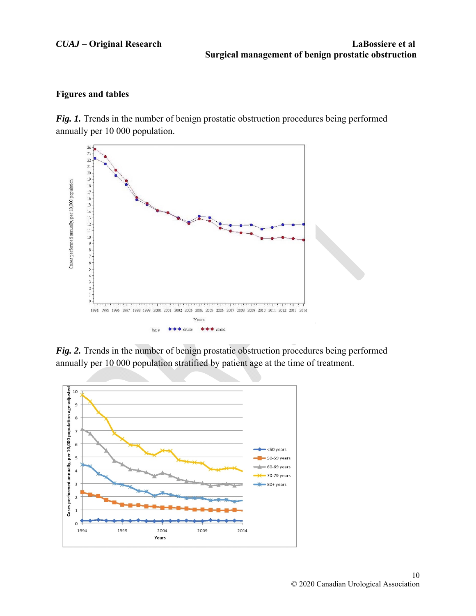### **Figures and tables**

*Fig. 1.* Trends in the number of benign prostatic obstruction procedures being performed annually per 10 000 population.



*Fig. 2.* Trends in the number of benign prostatic obstruction procedures being performed annually per 10 000 population stratified by patient age at the time of treatment.

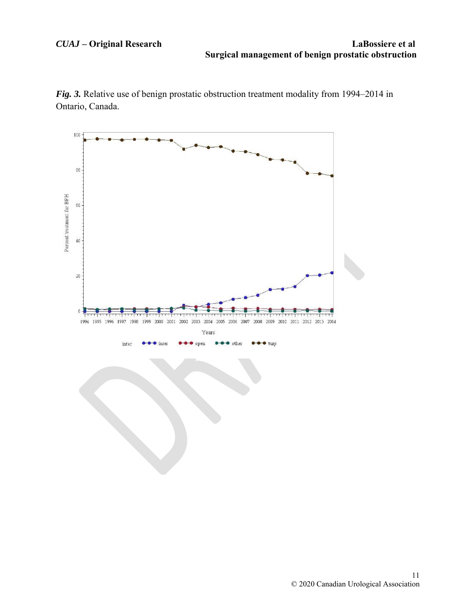*Fig. 3.* Relative use of benign prostatic obstruction treatment modality from 1994–2014 in Ontario, Canada.

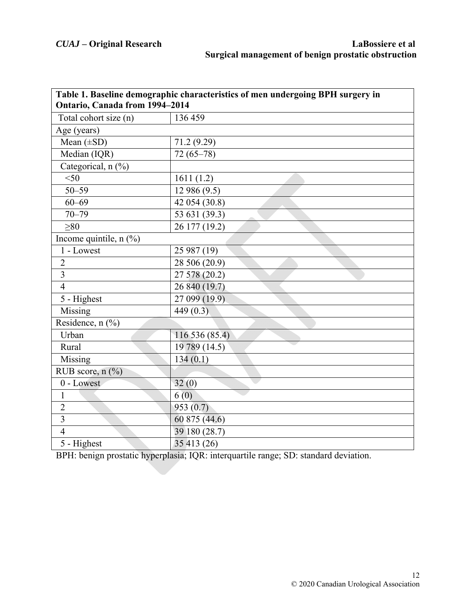| Table 1. Baseline demographic characteristics of men undergoing BPH surgery in<br>Ontario, Canada from 1994-2014 |                |  |  |  |  |
|------------------------------------------------------------------------------------------------------------------|----------------|--|--|--|--|
| Total cohort size (n)                                                                                            | 136 459        |  |  |  |  |
| Age (years)                                                                                                      |                |  |  |  |  |
| Mean $(\pm SD)$                                                                                                  | 71.2 (9.29)    |  |  |  |  |
| Median (IQR)                                                                                                     | $72(65 - 78)$  |  |  |  |  |
| Categorical, n (%)                                                                                               |                |  |  |  |  |
| $<$ 50                                                                                                           | 1611(1.2)      |  |  |  |  |
| $50 - 59$                                                                                                        | 12 986 (9.5)   |  |  |  |  |
| $60 - 69$                                                                                                        | 42 054 (30.8)  |  |  |  |  |
| $70 - 79$                                                                                                        | 53 631 (39.3)  |  |  |  |  |
| >80                                                                                                              | 26 177 (19.2)  |  |  |  |  |
| Income quintile, $n$ (%)                                                                                         |                |  |  |  |  |
| 1 - Lowest                                                                                                       | 25 987 (19)    |  |  |  |  |
| $\overline{2}$                                                                                                   | 28 506 (20.9)  |  |  |  |  |
| $\overline{3}$                                                                                                   | 27 578 (20.2)  |  |  |  |  |
| $\overline{4}$                                                                                                   | 26 840 (19.7)  |  |  |  |  |
| 5 - Highest                                                                                                      | 27 099 (19.9)  |  |  |  |  |
| Missing                                                                                                          | 449 $(0.3)$    |  |  |  |  |
| Residence, $n$ (%)                                                                                               |                |  |  |  |  |
| Urban                                                                                                            | 116 536 (85.4) |  |  |  |  |
| Rural                                                                                                            | 19 789 (14.5)  |  |  |  |  |
| Missing                                                                                                          | 134(0.1)       |  |  |  |  |
| RUB score, $n$ (%)                                                                                               |                |  |  |  |  |
| 0 - Lowest                                                                                                       | 32(0)          |  |  |  |  |
| $\mathbf{1}$                                                                                                     | 6(0)           |  |  |  |  |
| $\overline{2}$                                                                                                   | 953(0.7)       |  |  |  |  |
| $\overline{3}$                                                                                                   | 60 875 (44.6)  |  |  |  |  |
| $\overline{4}$                                                                                                   | 39 180 (28.7)  |  |  |  |  |
| $\overline{5}$ - Highest                                                                                         | 35 413 (26)    |  |  |  |  |

BPH: benign prostatic hyperplasia; IQR: interquartile range; SD: standard deviation.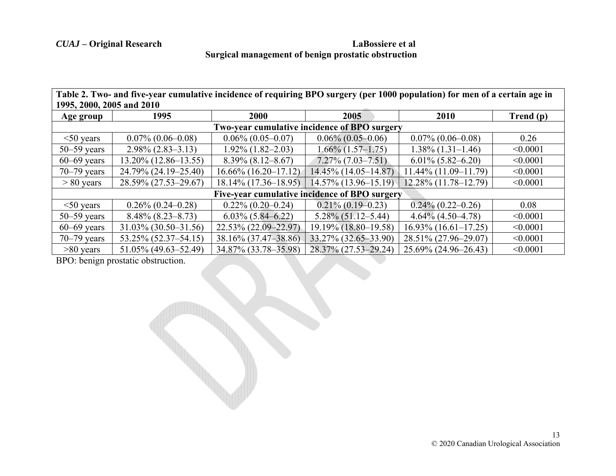# *CUAJ* **– Original Research LaBossiere et al Surgical management of benign prostatic obstruction**

**Table 2. Two- and five-year cumulative incidence of requiring BPO surgery (per 1000 population) for men of a certain age in 1995, 2000, 2005 and 2010** 

| Age group                                     | 1995                    | 2000                     | 2005                    | 2010                    | Trend (p) |  |  |  |  |  |
|-----------------------------------------------|-------------------------|--------------------------|-------------------------|-------------------------|-----------|--|--|--|--|--|
| Two-year cumulative incidence of BPO surgery  |                         |                          |                         |                         |           |  |  |  |  |  |
| $<$ 50 years                                  | $0.07\%$ (0.06–0.08)    | $0.06\%$ (0.05-0.07)     | $0.06\%$ (0.05-0.06)    | $0.07\%$ (0.06-0.08)    | 0.26      |  |  |  |  |  |
| $50 - 59$ years                               | $2.98\% (2.83 - 3.13)$  | $1.92\%$ (1.82-2.03)     | $1.66\%$ (1.57–1.75)    | $1.38\%$ (1.31–1.46)    | < 0.0001  |  |  |  |  |  |
| $60-69$ years                                 | $13.20\%$ (12.86-13.55) | $8.39\%$ $(8.12 - 8.67)$ | $7.27\%$ $(7.03-7.51)$  | $6.01\%$ $(5.82-6.20)$  | < 0.0001  |  |  |  |  |  |
| $70 - 79$ years                               | 24.79% (24.19–25.40)    | $16.66\%$ (16.20-17.12)  | 14.45% (14.05-14.87)    | $11.44\%$ (11.09-11.79) | < 0.0001  |  |  |  |  |  |
| $> 80$ years                                  | 28.59% (27.53-29.67)    | $18.14\%$ (17.36–18.95)  | $14.57\%$ (13.96-15.19) | 12.28% (11.78-12.79)    | < 0.0001  |  |  |  |  |  |
| Five-year cumulative incidence of BPO surgery |                         |                          |                         |                         |           |  |  |  |  |  |
| $<$ 50 years                                  | $0.26\%$ (0.24–0.28)    | $0.22\%$ (0.20-0.24)     | $0.21\%$ (0.19–0.23)    | $0.24\%$ (0.22–0.26)    | 0.08      |  |  |  |  |  |
| $50 - 59$ years                               | $8.48\%$ (8.23–8.73)    | $6.03\%$ $(5.84 - 6.22)$ | $5.28\%$ (51.12–5.44)   | $4.64\%$ (4.50-4.78)    | < 0.0001  |  |  |  |  |  |
| $60-69$ years                                 | $31.03\%$ (30.50-31.56) | 22.53% (22.09–22.97)     | 19.19% (18.80-19.58)    | $16.93\%$ (16.61-17.25) | < 0.0001  |  |  |  |  |  |
| $70 - 79$ years                               | 53.25% (52.37–54.15)    | 38.16% (37.47-38.86)     | 33.27% (32.65-33.90)    | 28.51% (27.96-29.07)    | < 0.0001  |  |  |  |  |  |
| $>80$ years                                   | 51.05% (49.63–52.49)    | 34.87% (33.78-35.98)     | 28.37% (27.53–29.24)    | 25.69% (24.96–26.43)    | < 0.0001  |  |  |  |  |  |

BPO: benign prostatic obstruction.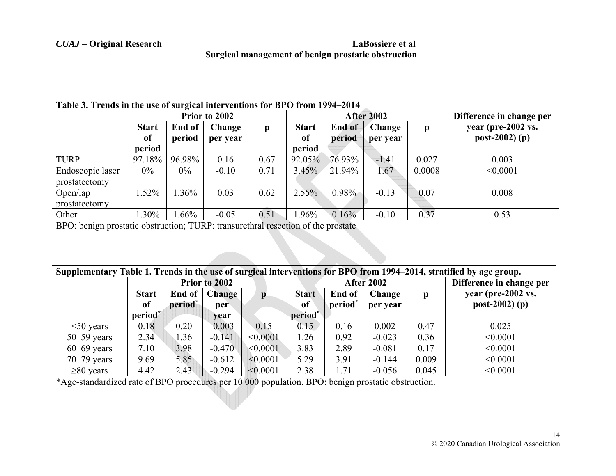# *CUAJ* **– Original Research LaBossiere et al Surgical management of benign prostatic obstruction**

| Table 3. Trends in the use of surgical interventions for BPO from 1994–2014 |               |         |          |      |                   |                              |          |                    |                          |
|-----------------------------------------------------------------------------|---------------|---------|----------|------|-------------------|------------------------------|----------|--------------------|--------------------------|
|                                                                             | Prior to 2002 |         |          |      | <b>After 2002</b> |                              |          |                    | Difference in change per |
|                                                                             | <b>Start</b>  | End of  | Change   | p    | <b>Start</b>      | <b>Change</b><br>End of<br>p |          | year (pre-2002 vs. |                          |
|                                                                             | of            | period  | per year |      | of                | period                       | per year |                    | $post-2002)$ (p)         |
|                                                                             | period        |         |          |      | period            |                              |          |                    |                          |
| <b>TURP</b>                                                                 | 97.18%        | 96.98%  | 0.16     | 0.67 | 92.05%            | 76.93%                       | $-1.41$  | 0.027              | 0.003                    |
| Endoscopic laser                                                            | $0\%$         | $0\%$   | $-0.10$  | 0.71 | 3.45%             | 21.94%                       | 1.67     | 0.0008             | < 0.0001                 |
| prostatectomy                                                               |               |         |          |      |                   |                              |          |                    |                          |
| Open/lap                                                                    | $.52\%$       | .36%    | 0.03     | 0.62 | $2.55\%$          | $0.98\%$                     | $-0.13$  | 0.07               | 0.008                    |
| prostatectomy                                                               |               |         |          |      |                   |                              |          |                    |                          |
| Other                                                                       | .30%          | $.66\%$ | $-0.05$  | 0.51 | 1.96%             | 0.16%                        | $-0.10$  | 0.37               | 0.53                     |

BPO: benign prostatic obstruction; TURP: transurethral resection of the prostate

| Supplementary Table 1. Trends in the use of surgical interventions for BPO from 1994–2014, stratified by age group. |                     |                     |               |              |                   |                     |             |       |                          |
|---------------------------------------------------------------------------------------------------------------------|---------------------|---------------------|---------------|--------------|-------------------|---------------------|-------------|-------|--------------------------|
|                                                                                                                     | Prior to 2002       |                     |               |              | <b>After 2002</b> |                     |             |       | Difference in change per |
|                                                                                                                     | <b>Start</b>        | End of              | <b>Change</b> | p            | <b>Start</b>      | End of              | Change<br>p |       | year (pre-2002 vs.       |
|                                                                                                                     | <sub>of</sub>       | period <sup>*</sup> | per           |              | <sub>of</sub>     | period <sup>*</sup> | per year    |       | $post-2002)$ (p)         |
|                                                                                                                     | period <sup>*</sup> |                     | vear          |              | period*           |                     |             |       |                          |
| $<$ 50 years                                                                                                        | 0.18                | 0.20                | $-0.003$      | 0.15         | 0.15              | 0.16                | 0.002       | 0.47  | 0.025                    |
| $50 - 59$ years                                                                                                     | 2.34                | 1.36                | $-0.141$      | < 0.0001     | 1.26              | 0.92                | $-0.023$    | 0.36  | < 0.0001                 |
| $60-69$ years                                                                                                       | 7.10                | 3.98                | $-0.470$      | < 0.0001     | 3.83              | 2.89                | $-0.081$    | 0.17  | < 0.0001                 |
| $70 - 79$ years                                                                                                     | 9.69                | 5.85                | $-0.612$      | $ $ < 0.0001 | 5.29              | 3.91                | $-0.144$    | 0.009 | < 0.0001                 |
| $\geq 80$ years                                                                                                     | 4.42                | 2.43                | $-0.294$      | < 0.0001     | 2.38              | .71                 | $-0.056$    | 0.045 | < 0.0001                 |

\*Age-standardized rate of BPO procedures per 10 000 population. BPO: benign prostatic obstruction.